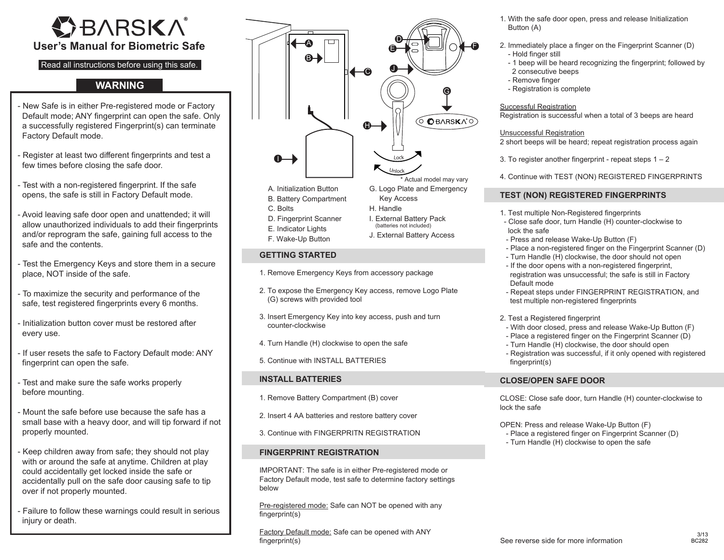# **OBARSKA User's Manual for Biometric Safe**

# Read all instructions before using this safe.

## **WARNING**

- New Safe is in either Pre-registered mode or Factory Default mode; ANY fingerprint can open the safe. Only a successfully registered Fingerprint(s) can terminate Factory Default mode.
- Register at least two different fingerprints and test a few times before closing the safe door.
- Test with a non-registered fingerprint. If the safe opens, the safe is still in Factory Default mode.
- Avoid leaving safe door open and unattended; it will allow unauthorized individuals to add their fingerprints and/or reprogram the safe, gaining full access to the safe and the contents.
- Test the Emergency Keys and store them in a secure place, NOT inside of the safe.
- To maximize the security and performance of the safe, test registered fingerprints every 6 months.
- Initialization button cover must be restored after every use.
- If user resets the safe to Factory Default mode: ANY fingerprint can open the safe.
- Test and make sure the safe works properly before mounting.
- Mount the safe before use because the safe has a small base with a heavy door, and will tip forward if not properly mounted.
- Keep children away from safe; they should not play with or around the safe at anytime. Children at play could accidentally get locked inside the safe or accidentally pull on the safe door causing safe to tip over if not properly mounted.
- Failure to follow these warnings could result in serious injury or death.



# **GETTING STARTED**

- 1. Remove Emergency Keys from accessory package
- 2. To expose the Emergency Key access, remove Logo Plate (G) screws with provided tool
- 3. Insert Emergency Key into key access, push and turn counter-clockwise
- 4. Turn Handle (H) clockwise to open the safe
- 5. Continue with INSTALL BATTERIES

## **INSTALL BATTERIES**

- 1. Remove Battery Compartment (B) cover
- 2. Insert 4 AA batteries and restore battery cover
- 3. Continue with FINGERPRITN REGISTRATION

## **FINGERPRINT REGISTRATION**

IMPORTANT: The safe is in either Pre-registered mode or Factory Default mode, test safe to determine factory settings below

Pre-registered mode: Safe can NOT be opened with any fingerprint(s)

Factory Default mode: Safe can be opened with ANY fingerprint(s)

- 1. With the safe door open, press and release Initialization Button (A)
- 2. Immediately place a finger on the Fingerprint Scanner (D) - Hold finger still
	- 1 beep will be heard recognizing the fingerprint; followed by
	- 2 consecutive beeps
	- Remove finger
	- Registration is complete

#### Successful Registration

Registration is successful when a total of 3 beeps are heard

#### Unsuccessful Registration

- 2 short beeps will be heard; repeat registration process again
- 3. To register another fingerprint repeat steps  $1 2$
- 4. Continue with TEST (NON) REGISTERED FINGERPRINTS

## **TEST (NON) REGISTERED FINGERPRINTS**

- 1. Test multiple Non-Registered fingerprints
- Close safe door, turn Handle (H) counter-clockwise to lock the safe
- Press and release Wake-Up Button (F)
- Place a non-registered finger on the Fingerprint Scanner (D)
- Turn Handle (H) clockwise, the door should not open
- If the door opens with a non-registered fingerprint, registration was unsuccessful; the safe is still in Factory Default mode
- Repeat steps under FINGERPRINT REGISTRATION, and test multiple non-registered fingerprints
- 2. Test a Registered fingerprint
- With door closed, press and release Wake-Up Button (F)
- Place a registered finger on the Fingerprint Scanner (D)
- Turn Handle (H) clockwise, the door should open
- Registration was successful, if it only opened with registered fingerprint(s)

## **CLOSE/OPEN SAFE DOOR**

CLOSE: Close safe door, turn Handle (H) counter-clockwise to lock the safe

OPEN: Press and release Wake-Up Button (F)

- Place a registered finger on Fingerprint Scanner (D)
- Turn Handle (H) clockwise to open the safe